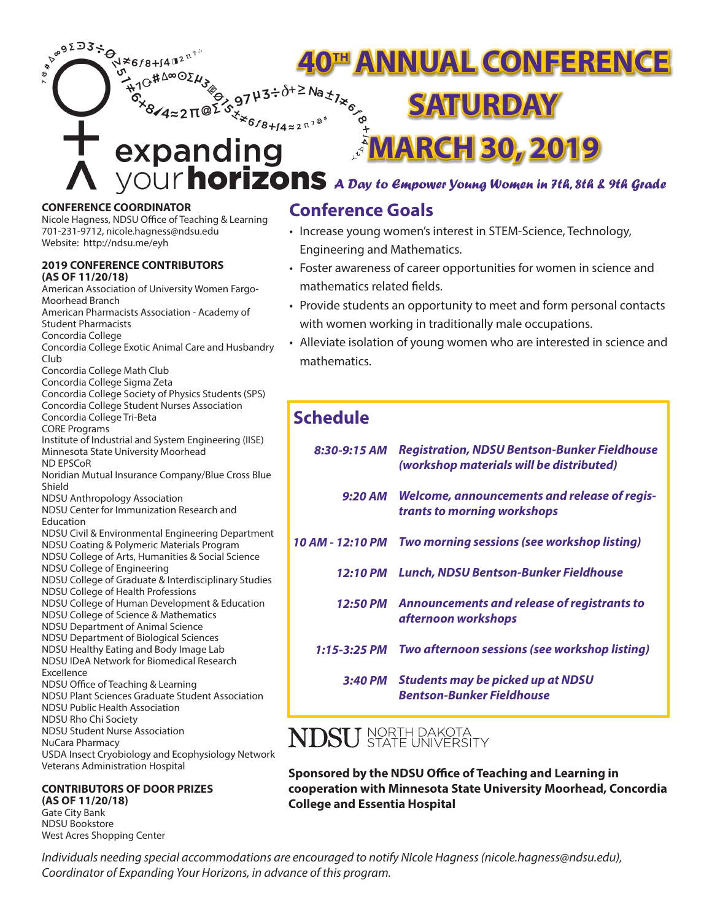**PROFESSED** ।<br>N≭6*f*8+∫4™<sup>2™1</sup> **40<sup>th</sup> ANNUAL CONFERENCE** ιG#Δ∞⊙ΣN 9743÷ $\delta$ **SATURDAY**  $4$ ≈2∏@<sup>Σ</sup> \*6*f*8+∫4≈2<sup>π1©</sup> **MARCH 30, 2019** expanding *A Day to Empower Young Women in 7th, 8th & 9th Grade*

# **CONFERENCE COORDINATOR**

Nicole Hagness, NDSU Office of Teaching & Learning 701-231-9712, nicole.hagness@ndsu.edu Website: http://ndsu.me/eyh

#### **2019 CONFERENCE CONTRIBUTORS (AS OF 11/20/18)**

American Association of University Women Fargo-Moorhead Branch American Pharmacists Association - Academy of Student Pharmacists Concordia College Concordia College Exotic Animal Care and Husbandry Club Concordia College Math Club Concordia College Sigma Zeta Concordia College Society of Physics Students (SPS) Concordia College Student Nurses Association Concordia College Tri-Beta CORE Programs Institute of Industrial and System Engineering (IISE) Minnesota State University Moorhead ND EPSCoR Noridian Mutual Insurance Company/Blue Cross Blue Shield NDSU Anthropology Association NDSU Center for Immunization Research and Education NDSU Civil & Environmental Engineering Department NDSU Coating & Polymeric Materials Program NDSU College of Arts, Humanities & Social Science NDSU College of Engineering NDSU College of Graduate & Interdisciplinary Studies NDSU College of Health Professions NDSU College of Human Development & Education NDSU College of Science & Mathematics NDSU Department of Animal Science NDSU Department of Biological Sciences NDSU Healthy Eating and Body Image Lab NDSU IDeA Network for Biomedical Research Excellence NDSU Office of Teaching & Learning NDSU Plant Sciences Graduate Student Association NDSU Public Health Association NDSU Rho Chi Society NDSU Student Nurse Association NuCara Pharmacy USDA Insect Cryobiology and Ecophysiology Network Veterans Administration Hospital

#### **CONTRIBUTORS OF DOOR PRIZES (AS OF 11/20/18)**

Gate City Bank NDSU Bookstore West Acres Shopping Center

# **Conference Goals**

- Increase young women's interest in STEM-Science, Technology, Engineering and Mathematics.
- Foster awareness of career opportunities for women in science and mathematics related fields.
- Provide students an opportunity to meet and form personal contacts with women working in traditionally male occupations.
- Alleviate isolation of young women who are interested in science and mathematics.

# **Schedule**

| 8:30-9:15 AM     | <b>Registration, NDSU Bentson-Bunker Fieldhouse</b><br>(workshop materials will be distributed) |  |  |  |  |
|------------------|-------------------------------------------------------------------------------------------------|--|--|--|--|
| 9:20 AM          | <b>Welcome, announcements and release of regis-</b><br>trants to morning workshops              |  |  |  |  |
| 10 AM - 12:10 PM | <b>Two morning sessions (see workshop listing)</b>                                              |  |  |  |  |
| 12:10 PM         | Lunch, NDSU Bentson-Bunker Fieldhouse                                                           |  |  |  |  |
|                  | 12:50 PM Announcements and release of registrants to<br>afternoon workshops                     |  |  |  |  |
| $1:15 - 3:25$ PM | Two afternoon sessions (see workshop listing)                                                   |  |  |  |  |
|                  | 3:40 PM Students may be picked up at NDSU<br><b>Bentson-Bunker Fieldhouse</b>                   |  |  |  |  |

# $\mathrm{NDSU}$  NORTH DAKOTA STATE UNIVERSITY

**Sponsored by the NDSU Office of Teaching and Learning in cooperation with Minnesota State University Moorhead, Concordia College and Essentia Hospital**

*Individuals needing special accommodations are encouraged to notify NIcole Hagness (nicole.hagness@ndsu.edu), Coordinator of Expanding Your Horizons, in advance of this program.*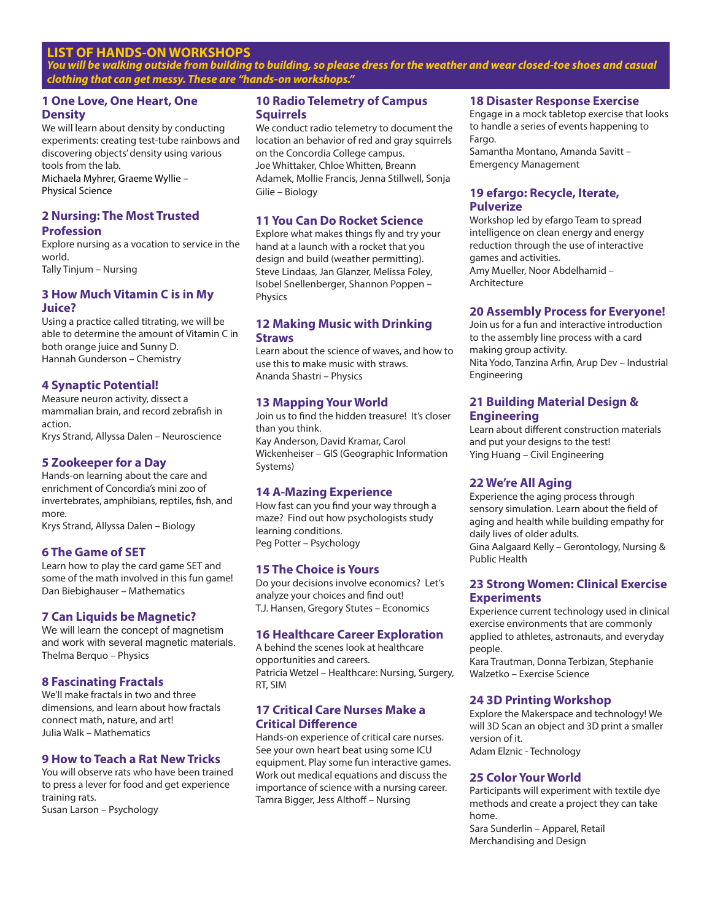# **LIST OF HANDS-ON WORKSHOPS**

*You will be walking outside from building to building, so please dress for the weather and wear closed-toe shoes and casual clothing that can get messy. These are "hands-on workshops."*

# **1 One Love, One Heart, One Density**

We will learn about density by conducting experiments: creating test-tube rainbows and discovering objects' density using various tools from the lab.

Michaela Myhrer, Graeme Wyllie – Physical Science

# **2 Nursing: The Most Trusted**

#### **Profession**

Explore nursing as a vocation to service in the world. Tally Tinjum – Nursing

# **3 How Much Vitamin C is in My Juice?**

Using a practice called titrating, we will be able to determine the amount of Vitamin C in both orange juice and Sunny D. Hannah Gunderson – Chemistry

# **4 Synaptic Potential!**

Measure neuron activity, dissect a mammalian brain, and record zebrafish in action. Krys Strand, Allyssa Dalen – Neuroscience

#### **5 Zookeeper for a Day**

Hands-on learning about the care and enrichment of Concordia's mini zoo of invertebrates, amphibians, reptiles, fish, and more.

Krys Strand, Allyssa Dalen – Biology

# **6 The Game of SET**

Learn how to play the card game SET and some of the math involved in this fun game! Dan Biebighauser – Mathematics

#### **7 Can Liquids be Magnetic?**

We will learn the concept of magnetism and work with several magnetic materials. Thelma Berquo – Physics

#### **8 Fascinating Fractals**

We'll make fractals in two and three dimensions, and learn about how fractals connect math, nature, and art! Julia Walk – Mathematics

#### **9 How to Teach a Rat New Tricks**

You will observe rats who have been trained to press a lever for food and get experience training rats. Susan Larson – Psychology

**10 Radio Telemetry of Campus Squirrels**

We conduct radio telemetry to document the location an behavior of red and gray squirrels on the Concordia College campus. Joe Whittaker, Chloe Whitten, Breann Adamek, Mollie Francis, Jenna Stillwell, Sonja Gilie – Biology

#### **11 You Can Do Rocket Science**

Explore what makes things fly and try your hand at a launch with a rocket that you design and build (weather permitting). Steve Lindaas, Jan Glanzer, Melissa Foley, Isobel Snellenberger, Shannon Poppen – **Physics** 

#### **12 Making Music with Drinking Straws**

Learn about the science of waves, and how to use this to make music with straws. Ananda Shastri – Physics

# **13 Mapping Your World**

Join us to find the hidden treasure! It's closer than you think. Kay Anderson, David Kramar, Carol Wickenheiser – GIS (Geographic Information Systems)

# **14 A-Mazing Experience**

How fast can you find your way through a maze? Find out how psychologists study learning conditions. Peg Potter – Psychology

#### **15 The Choice is Yours**

Do your decisions involve economics? Let's analyze your choices and find out! T.J. Hansen, Gregory Stutes – Economics

#### **16 Healthcare Career Exploration**

A behind the scenes look at healthcare opportunities and careers. Patricia Wetzel – Healthcare: Nursing, Surgery, RT, SIM

#### **17 Critical Care Nurses Make a Critical Difference**

Hands-on experience of critical care nurses. See your own heart beat using some ICU equipment. Play some fun interactive games. Work out medical equations and discuss the importance of science with a nursing career. Tamra Bigger, Jess Althoff – Nursing

#### **18 Disaster Response Exercise**

Engage in a mock tabletop exercise that looks to handle a series of events happening to Fargo.

Samantha Montano, Amanda Savitt – Emergency Management

#### **19 efargo: Recycle, Iterate, Pulverize**

Workshop led by efargo Team to spread intelligence on clean energy and energy reduction through the use of interactive games and activities. Amy Mueller, Noor Abdelhamid – Architecture

#### **20 Assembly Process for Everyone!**

Join us for a fun and interactive introduction to the assembly line process with a card making group activity. Nita Yodo, Tanzina Arfin, Arup Dev – Industrial Engineering

#### **21 Building Material Design & Engineering**

Learn about different construction materials and put your designs to the test! Ying Huang – Civil Engineering

#### **22 We're All Aging**

Experience the aging process through sensory simulation. Learn about the field of aging and health while building empathy for daily lives of older adults. Gina Aalgaard Kelly – Gerontology, Nursing & Public Health

#### **23 Strong Women: Clinical Exercise Experiments**

Experience current technology used in clinical exercise environments that are commonly applied to athletes, astronauts, and everyday people.

Kara Trautman, Donna Terbizan, Stephanie Walzetko – Exercise Science

#### **24 3D Printing Workshop**

Explore the Makerspace and technology! We will 3D Scan an object and 3D print a smaller version of it. Adam Elznic - Technology

#### **25 Color Your World**

Participants will experiment with textile dye methods and create a project they can take home. Sara Sunderlin – Apparel, Retail Merchandising and Design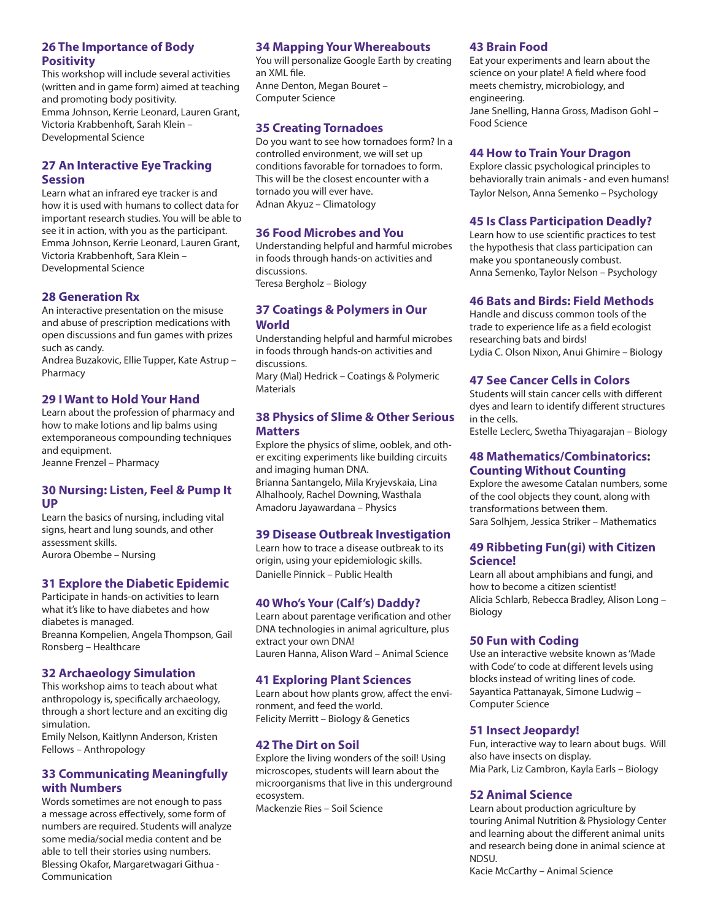# **26 The Importance of Body Positivity**

This workshop will include several activities (written and in game form) aimed at teaching and promoting body positivity. Emma Johnson, Kerrie Leonard, Lauren Grant, Victoria Krabbenhoft, Sarah Klein – Developmental Science

# **27 An Interactive Eye Tracking Session**

Learn what an infrared eye tracker is and how it is used with humans to collect data for important research studies. You will be able to see it in action, with you as the participant. Emma Johnson, Kerrie Leonard, Lauren Grant, Victoria Krabbenhoft, Sara Klein – Developmental Science

# **28 Generation Rx**

An interactive presentation on the misuse and abuse of prescription medications with open discussions and fun games with prizes such as candy.

Andrea Buzakovic, Ellie Tupper, Kate Astrup – Pharmacy

# **29 I Want to Hold Your Hand**

Learn about the profession of pharmacy and how to make lotions and lip balms using extemporaneous compounding techniques and equipment.

Jeanne Frenzel – Pharmacy

# **30 Nursing: Listen, Feel & Pump It UP**

Learn the basics of nursing, including vital signs, heart and lung sounds, and other assessment skills. Aurora Obembe – Nursing

# **31 Explore the Diabetic Epidemic**

Participate in hands-on activities to learn what it's like to have diabetes and how diabetes is managed. Breanna Kompelien, Angela Thompson, Gail Ronsberg – Healthcare

# **32 Archaeology Simulation**

This workshop aims to teach about what anthropology is, specifically archaeology, through a short lecture and an exciting dig simulation.

Emily Nelson, Kaitlynn Anderson, Kristen Fellows – Anthropology

# **33 Communicating Meaningfully with Numbers**

Words sometimes are not enough to pass a message across effectively, some form of numbers are required. Students will analyze some media/social media content and be able to tell their stories using numbers. Blessing Okafor, Margaretwagari Githua - Communication

# **34 Mapping Your Whereabouts**

You will personalize Google Earth by creating an XML file. Anne Denton, Megan Bouret – Computer Science

# **35 Creating Tornadoes**

Do you want to see how tornadoes form? In a controlled environment, we will set up conditions favorable for tornadoes to form. This will be the closest encounter with a tornado you will ever have. Adnan Akyuz – Climatology

# **36 Food Microbes and You**

Understanding helpful and harmful microbes in foods through hands-on activities and discussions. Teresa Bergholz – Biology

# **37 Coatings & Polymers in Our World**

Understanding helpful and harmful microbes in foods through hands-on activities and discussions. Mary (Mal) Hedrick – Coatings & Polymeric

**Materials** 

# **38 Physics of Slime & Other Serious Matters**

Explore the physics of slime, ooblek, and other exciting experiments like building circuits and imaging human DNA. Brianna Santangelo, Mila Kryjevskaia, Lina Alhalhooly, Rachel Downing, Wasthala Amadoru Jayawardana – Physics

#### **39 Disease Outbreak Investigation**

Learn how to trace a disease outbreak to its origin, using your epidemiologic skills. Danielle Pinnick – Public Health

# **40 Who's Your (Calf's) Daddy?**

Learn about parentage verification and other DNA technologies in animal agriculture, plus extract your own DNA! Lauren Hanna, Alison Ward – Animal Science

# **41 Exploring Plant Sciences**

Learn about how plants grow, affect the environment, and feed the world. Felicity Merritt – Biology & Genetics

# **42 The Dirt on Soil**

Explore the living wonders of the soil! Using microscopes, students will learn about the microorganisms that live in this underground ecosystem.

Mackenzie Ries – Soil Science

#### **43 Brain Food**

Eat your experiments and learn about the science on your plate! A field where food meets chemistry, microbiology, and engineering. Jane Snelling, Hanna Gross, Madison Gohl – Food Science

#### **44 How to Train Your Dragon**

Explore classic psychological principles to behaviorally train animals - and even humans! Taylor Nelson, Anna Semenko – Psychology

# **45 Is Class Participation Deadly?**

Learn how to use scientific practices to test the hypothesis that class participation can make you spontaneously combust. Anna Semenko, Taylor Nelson – Psychology

# **46 Bats and Birds: Field Methods**

Handle and discuss common tools of the trade to experience life as a field ecologist researching bats and birds! Lydia C. Olson Nixon, Anui Ghimire – Biology

# **47 See Cancer Cells in Colors**

Students will stain cancer cells with different dyes and learn to identify different structures in the cells.

Estelle Leclerc, Swetha Thiyagarajan – Biology

# **48 Mathematics/Combinatorics: Counting Without Counting**

Explore the awesome Catalan numbers, some of the cool objects they count, along with transformations between them. Sara Solhjem, Jessica Striker – Mathematics

# **49 Ribbeting Fun(gi) with Citizen Science!**

Learn all about amphibians and fungi, and how to become a citizen scientist! Alicia Schlarb, Rebecca Bradley, Alison Long – Biology

#### **50 Fun with Coding**

Use an interactive website known as 'Made with Code' to code at different levels using blocks instead of writing lines of code. Sayantica Pattanayak, Simone Ludwig – Computer Science

#### **51 Insect Jeopardy!**

Fun, interactive way to learn about bugs. Will also have insects on display. Mia Park, Liz Cambron, Kayla Earls – Biology

#### **52 Animal Science**

Learn about production agriculture by touring Animal Nutrition & Physiology Center and learning about the different animal units and research being done in animal science at NDSU.

Kacie McCarthy – Animal Science